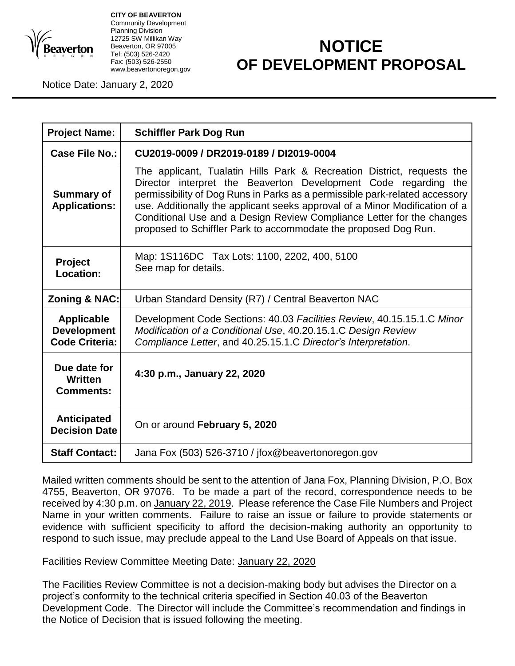

**CITY OF BEAVERTON** Community Development Planning Division 12725 SW Millikan Way Beaverton, OR 97005 Tel: (503) 526-2420 Fax: (503) 526-2550 www.beavertonoregon.gov

## **NOTICE OF DEVELOPMENT PROPOSAL**

Notice Date: January 2, 2020

| <b>Project Name:</b>                                             | <b>Schiffler Park Dog Run</b>                                                                                                                                                                                                                                                                                                                                                                                                                       |
|------------------------------------------------------------------|-----------------------------------------------------------------------------------------------------------------------------------------------------------------------------------------------------------------------------------------------------------------------------------------------------------------------------------------------------------------------------------------------------------------------------------------------------|
| Case File No.:                                                   | CU2019-0009 / DR2019-0189 / DI2019-0004                                                                                                                                                                                                                                                                                                                                                                                                             |
| <b>Summary of</b><br><b>Applications:</b>                        | The applicant, Tualatin Hills Park & Recreation District, requests the<br>Director interpret the Beaverton Development Code regarding the<br>permissibility of Dog Runs in Parks as a permissible park-related accessory<br>use. Additionally the applicant seeks approval of a Minor Modification of a<br>Conditional Use and a Design Review Compliance Letter for the changes<br>proposed to Schiffler Park to accommodate the proposed Dog Run. |
| <b>Project</b><br>Location:                                      | Map: 1S116DC Tax Lots: 1100, 2202, 400, 5100<br>See map for details.                                                                                                                                                                                                                                                                                                                                                                                |
| Zoning & NAC:                                                    | Urban Standard Density (R7) / Central Beaverton NAC                                                                                                                                                                                                                                                                                                                                                                                                 |
| <b>Applicable</b><br><b>Development</b><br><b>Code Criteria:</b> | Development Code Sections: 40.03 Facilities Review, 40.15.15.1.C Minor<br>Modification of a Conditional Use, 40.20.15.1.C Design Review<br>Compliance Letter, and 40.25.15.1.C Director's Interpretation.                                                                                                                                                                                                                                           |
| Due date for<br>Written<br><b>Comments:</b>                      | 4:30 p.m., January 22, 2020                                                                                                                                                                                                                                                                                                                                                                                                                         |
| <b>Anticipated</b><br><b>Decision Date</b>                       | On or around February 5, 2020                                                                                                                                                                                                                                                                                                                                                                                                                       |
| <b>Staff Contact:</b>                                            | Jana Fox (503) 526-3710 / jfox@beavertonoregon.gov                                                                                                                                                                                                                                                                                                                                                                                                  |

Mailed written comments should be sent to the attention of Jana Fox, Planning Division, P.O. Box 4755, Beaverton, OR 97076. To be made a part of the record, correspondence needs to be received by 4:30 p.m. on January 22, 2019. Please reference the Case File Numbers and Project Name in your written comments. Failure to raise an issue or failure to provide statements or evidence with sufficient specificity to afford the decision-making authority an opportunity to respond to such issue, may preclude appeal to the Land Use Board of Appeals on that issue.

Facilities Review Committee Meeting Date: January 22, 2020

The Facilities Review Committee is not a decision-making body but advises the Director on a project's conformity to the technical criteria specified in Section 40.03 of the Beaverton Development Code. The Director will include the Committee's recommendation and findings in the Notice of Decision that is issued following the meeting.